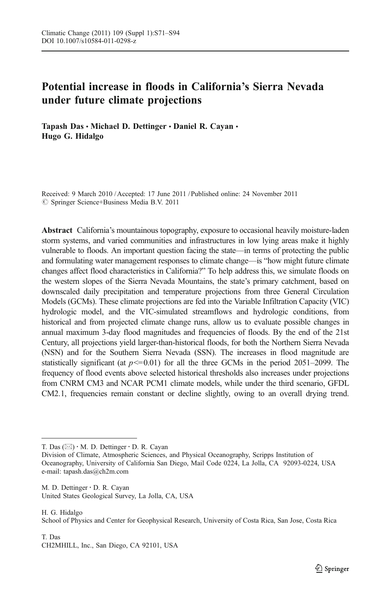# Potential increase in floods in California's Sierra Nevada under future climate projections

Tapash Das • Michael D. Dettinger • Daniel R. Cayan • Hugo G. Hidalgo

Received: 9 March 2010 / Accepted: 17 June 2011 / Published online: 24 November 2011  $\circ$  Springer Science+Business Media B.V. 2011

Abstract California's mountainous topography, exposure to occasional heavily moisture-laden storm systems, and varied communities and infrastructures in low lying areas make it highly vulnerable to floods. An important question facing the state—in terms of protecting the public and formulating water management responses to climate change—is "how might future climate changes affect flood characteristics in California?" To help address this, we simulate floods on the western slopes of the Sierra Nevada Mountains, the state's primary catchment, based on downscaled daily precipitation and temperature projections from three General Circulation Models (GCMs). These climate projections are fed into the Variable Infiltration Capacity (VIC) hydrologic model, and the VIC-simulated streamflows and hydrologic conditions, from historical and from projected climate change runs, allow us to evaluate possible changes in annual maximum 3-day flood magnitudes and frequencies of floods. By the end of the 21st Century, all projections yield larger-than-historical floods, for both the Northern Sierra Nevada (NSN) and for the Southern Sierra Nevada (SSN). The increases in flood magnitude are statistically significant (at  $p \le 0.01$ ) for all the three GCMs in the period 2051–2099. The frequency of flood events above selected historical thresholds also increases under projections from CNRM CM3 and NCAR PCM1 climate models, while under the third scenario, GFDL CM2.1, frequencies remain constant or decline slightly, owing to an overall drying trend.

T. Das  $(\boxtimes) \cdot M$ . D. Dettinger  $\cdot$  D. R. Cayan

Division of Climate, Atmospheric Sciences, and Physical Oceanography, Scripps Institution of Oceanography, University of California San Diego, Mail Code 0224, La Jolla, CA 92093-0224, USA e-mail: tapash.das@ch2m.com

M. D. Dettinger : D. R. Cayan United States Geological Survey, La Jolla, CA, USA

H. G. Hidalgo School of Physics and Center for Geophysical Research, University of Costa Rica, San Jose, Costa Rica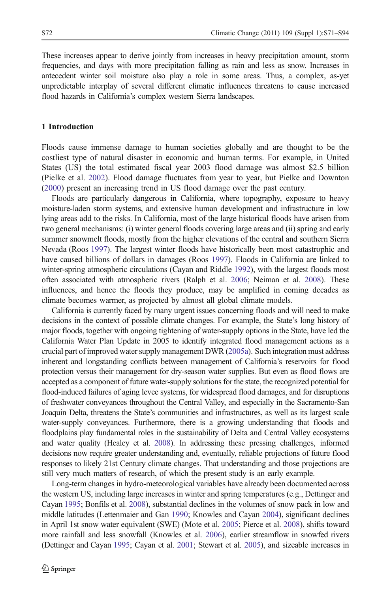These increases appear to derive jointly from increases in heavy precipitation amount, storm frequencies, and days with more precipitation falling as rain and less as snow. Increases in antecedent winter soil moisture also play a role in some areas. Thus, a complex, as-yet unpredictable interplay of several different climatic influences threatens to cause increased flood hazards in California's complex western Sierra landscapes.

# 1 Introduction

Floods cause immense damage to human societies globally and are thought to be the costliest type of natural disaster in economic and human terms. For example, in United States (US) the total estimated fiscal year 2003 flood damage was almost \$2.5 billion (Pielke et al. [2002](#page-23-0)). Flood damage fluctuates from year to year, but Pielke and Downton ([2000\)](#page-23-0) present an increasing trend in US flood damage over the past century.

Floods are particularly dangerous in California, where topography, exposure to heavy moisture-laden storm systems, and extensive human development and infrastructure in low lying areas add to the risks. In California, most of the large historical floods have arisen from two general mechanisms: (i) winter general floods covering large areas and (ii) spring and early summer snowmelt floods, mostly from the higher elevations of the central and southern Sierra Nevada (Roos [1997\)](#page-23-0). The largest winter floods have historically been most catastrophic and have caused billions of dollars in damages (Roos [1997](#page-23-0)). Floods in California are linked to winter-spring atmospheric circulations (Cayan and Riddle [1992\)](#page-21-0), with the largest floods most often associated with atmospheric rivers (Ralph et al. [2006](#page-23-0); Neiman et al. [2008](#page-23-0)). These influences, and hence the floods they produce, may be amplified in coming decades as climate becomes warmer, as projected by almost all global climate models.

California is currently faced by many urgent issues concerning floods and will need to make decisions in the context of possible climate changes. For example, the State's long history of major floods, together with ongoing tightening of water-supply options in the State, have led the California Water Plan Update in 2005 to identify integrated flood management actions as a crucial part of improved water supply management DWR ([2005a\)](#page-22-0). Such integration must address inherent and longstanding conflicts between management of California's reservoirs for flood protection versus their management for dry-season water supplies. But even as flood flows are accepted as a component of future water-supply solutions for the state, the recognized potential for flood-induced failures of aging levee systems, for widespread flood damages, and for disruptions of freshwater conveyances throughout the Central Valley, and especially in the Sacramento-San Joaquin Delta, threatens the State's communities and infrastructures, as well as its largest scale water-supply conveyances. Furthermore, there is a growing understanding that floods and floodplains play fundamental roles in the sustainability of Delta and Central Valley ecosystems and water quality (Healey et al. [2008\)](#page-22-0). In addressing these pressing challenges, informed decisions now require greater understanding and, eventually, reliable projections of future flood responses to likely 21st Century climate changes. That understanding and those projections are still very much matters of research, of which the present study is an early example.

Long-term changes in hydro-meteorological variables have already been documented across the western US, including large increases in winter and spring temperatures (e.g., Dettinger and Cayan [1995;](#page-21-0) Bonfils et al. [2008\)](#page-21-0), substantial declines in the volumes of snow pack in low and middle latitudes (Lettenmaier and Gan [1990](#page-22-0); Knowles and Cayan [2004](#page-22-0)), significant declines in April 1st snow water equivalent (SWE) (Mote et al. [2005](#page-23-0); Pierce et al. [2008](#page-23-0)), shifts toward more rainfall and less snowfall (Knowles et al. [2006\)](#page-22-0), earlier streamflow in snowfed rivers (Dettinger and Cayan [1995;](#page-21-0) Cayan et al. [2001](#page-21-0); Stewart et al. [2005](#page-23-0)), and sizeable increases in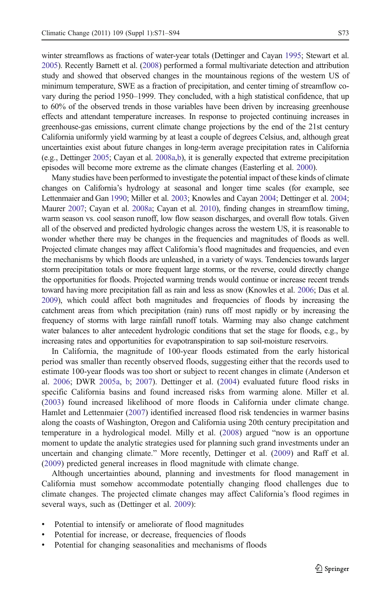winter streamflows as fractions of water-year totals (Dettinger and Cayan [1995;](#page-21-0) Stewart et al. [2005](#page-23-0)). Recently Barnett et al. [\(2008\)](#page-21-0) performed a formal multivariate detection and attribution study and showed that observed changes in the mountainous regions of the western US of minimum temperature, SWE as a fraction of precipitation, and center timing of streamflow covary during the period 1950–1999. They concluded, with a high statistical confidence, that up to 60% of the observed trends in those variables have been driven by increasing greenhouse effects and attendant temperature increases. In response to projected continuing increases in greenhouse-gas emissions, current climate change projections by the end of the 21st century California uniformly yield warming by at least a couple of degrees Celsius, and, although great uncertainties exist about future changes in long-term average precipitation rates in California (e.g., Dettinger [2005;](#page-21-0) Cayan et al. [2008a,b\)](#page-21-0), it is generally expected that extreme precipitation episodes will become more extreme as the climate changes (Easterling et al. [2000\)](#page-22-0).

Many studies have been performed to investigate the potential impact of these kinds of climate changes on California's hydrology at seasonal and longer time scales (for example, see Lettenmaier and Gan [1990;](#page-22-0) Miller et al. [2003;](#page-23-0) Knowles and Cayan [2004](#page-22-0); Dettinger et al. [2004](#page-22-0); Maurer [2007;](#page-22-0) Cayan et al. [2008a;](#page-21-0) Cayan et al. [2010\)](#page-21-0), finding changes in streamflow timing, warm season vs. cool season runoff, low flow season discharges, and overall flow totals. Given all of the observed and predicted hydrologic changes across the western US, it is reasonable to wonder whether there may be changes in the frequencies and magnitudes of floods as well. Projected climate changes may affect California's flood magnitudes and frequencies, and even the mechanisms by which floods are unleashed, in a variety of ways. Tendencies towards larger storm precipitation totals or more frequent large storms, or the reverse, could directly change the opportunities for floods. Projected warming trends would continue or increase recent trends toward having more precipitation fall as rain and less as snow (Knowles et al. [2006;](#page-22-0) Das et al. [2009](#page-21-0)), which could affect both magnitudes and frequencies of floods by increasing the catchment areas from which precipitation (rain) runs off most rapidly or by increasing the frequency of storms with large rainfall runoff totals. Warming may also change catchment water balances to alter antecedent hydrologic conditions that set the stage for floods, e.g., by increasing rates and opportunities for evapotranspiration to sap soil-moisture reservoirs.

In California, the magnitude of 100-year floods estimated from the early historical period was smaller than recently observed floods, suggesting either that the records used to estimate 100-year floods was too short or subject to recent changes in climate (Anderson et al. [2006;](#page-21-0) DWR [2005a,](#page-22-0) [b;](#page-22-0) [2007](#page-22-0)). Dettinger et al. [\(2004](#page-22-0)) evaluated future flood risks in specific California basins and found increased risks from warming alone. Miller et al. ([2003\)](#page-23-0) found increased likelihood of more floods in California under climate change. Hamlet and Lettenmaier [\(2007](#page-22-0)) identified increased flood risk tendencies in warmer basins along the coasts of Washington, Oregon and California using 20th century precipitation and temperature in a hydrological model. Milly et al. [\(2008\)](#page-23-0) argued "now is an opportune moment to update the analytic strategies used for planning such grand investments under an uncertain and changing climate." More recently, Dettinger et al. ([2009\)](#page-22-0) and Raff et al. ([2009\)](#page-23-0) predicted general increases in flood magnitude with climate change.

Although uncertainties abound, planning and investments for flood management in California must somehow accommodate potentially changing flood challenges due to climate changes. The projected climate changes may affect California's flood regimes in several ways, such as (Dettinger et al. [2009\)](#page-22-0):

- Potential to intensify or ameliorate of flood magnitudes
- Potential for increase, or decrease, frequencies of floods
- Potential for changing seasonalities and mechanisms of floods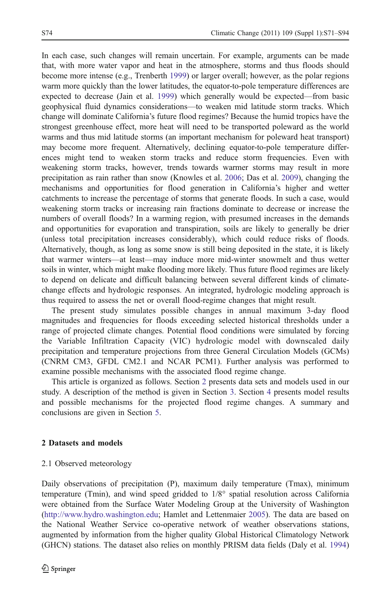In each case, such changes will remain uncertain. For example, arguments can be made that, with more water vapor and heat in the atmosphere, storms and thus floods should become more intense (e.g., Trenberth [1999\)](#page-23-0) or larger overall; however, as the polar regions warm more quickly than the lower latitudes, the equator-to-pole temperature differences are expected to decrease (Jain et al. [1999\)](#page-22-0) which generally would be expected—from basic geophysical fluid dynamics considerations—to weaken mid latitude storm tracks. Which change will dominate California's future flood regimes? Because the humid tropics have the strongest greenhouse effect, more heat will need to be transported poleward as the world warms and thus mid latitude storms (an important mechanism for poleward heat transport) may become more frequent. Alternatively, declining equator-to-pole temperature differences might tend to weaken storm tracks and reduce storm frequencies. Even with weakening storm tracks, however, trends towards warmer storms may result in more precipitation as rain rather than snow (Knowles et al. [2006;](#page-22-0) Das et al. [2009](#page-21-0)), changing the mechanisms and opportunities for flood generation in California's higher and wetter catchments to increase the percentage of storms that generate floods. In such a case, would weakening storm tracks or increasing rain fractions dominate to decrease or increase the numbers of overall floods? In a warming region, with presumed increases in the demands and opportunities for evaporation and transpiration, soils are likely to generally be drier (unless total precipitation increases considerably), which could reduce risks of floods. Alternatively, though, as long as some snow is still being deposited in the state, it is likely that warmer winters—at least—may induce more mid-winter snowmelt and thus wetter soils in winter, which might make flooding more likely. Thus future flood regimes are likely to depend on delicate and difficult balancing between several different kinds of climatechange effects and hydrologic responses. An integrated, hydrologic modeling approach is thus required to assess the net or overall flood-regime changes that might result.

The present study simulates possible changes in annual maximum 3-day flood magnitudes and frequencies for floods exceeding selected historical thresholds under a range of projected climate changes. Potential flood conditions were simulated by forcing the Variable Infiltration Capacity (VIC) hydrologic model with downscaled daily precipitation and temperature projections from three General Circulation Models (GCMs) (CNRM CM3, GFDL CM2.1 and NCAR PCM1). Further analysis was performed to examine possible mechanisms with the associated flood regime change.

This article is organized as follows. Section 2 presents data sets and models used in our study. A description of the method is given in Section [3](#page-6-0). Section [4](#page-8-0) presents model results and possible mechanisms for the projected flood regime changes. A summary and conclusions are given in Section [5](#page-17-0).

# 2 Datasets and models

#### 2.1 Observed meteorology

Daily observations of precipitation (P), maximum daily temperature (Tmax), minimum temperature (Tmin), and wind speed gridded to 1/8° spatial resolution across California were obtained from the Surface Water Modeling Group at the University of Washington ([http://www.hydro.washington.edu;](http://www.hydro.washington.edu) Hamlet and Lettenmaier [2005\)](#page-22-0). The data are based on the National Weather Service co-operative network of weather observations stations, augmented by information from the higher quality Global Historical Climatology Network (GHCN) stations. The dataset also relies on monthly PRISM data fields (Daly et al. [1994\)](#page-21-0)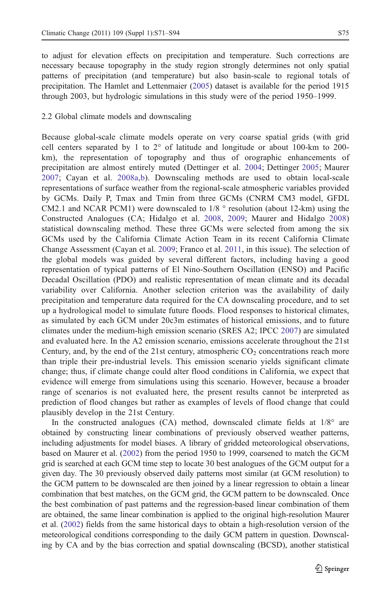to adjust for elevation effects on precipitation and temperature. Such corrections are necessary because topography in the study region strongly determines not only spatial patterns of precipitation (and temperature) but also basin-scale to regional totals of precipitation. The Hamlet and Lettenmaier ([2005\)](#page-22-0) dataset is available for the period 1915 through 2003, but hydrologic simulations in this study were of the period 1950–1999.

#### 2.2 Global climate models and downscaling

Because global-scale climate models operate on very coarse spatial grids (with grid cell centers separated by 1 to  $2^{\circ}$  of latitude and longitude or about 100-km to 200km), the representation of topography and thus of orographic enhancements of precipitation are almost entirely muted (Dettinger et al. [2004](#page-22-0); Dettinger [2005;](#page-21-0) Maurer [2007](#page-22-0); Cayan et al. [2008a,b\)](#page-21-0). Downscaling methods are used to obtain local-scale representations of surface weather from the regional-scale atmospheric variables provided by GCMs. Daily P, Tmax and Tmin from three GCMs (CNRM CM3 model, GFDL CM2.1 and NCAR PCM1) were downscaled to  $1/8$  ° resolution (about 12-km) using the Constructed Analogues (CA; Hidalgo et al. [2008,](#page-22-0) [2009](#page-22-0); Maurer and Hidalgo [2008\)](#page-22-0) statistical downscaling method. These three GCMs were selected from among the six GCMs used by the California Climate Action Team in its recent California Climate Change Assessment (Cayan et al. [2009](#page-21-0); Franco et al. [2011,](#page-22-0) in this issue). The selection of the global models was guided by several different factors, including having a good representation of typical patterns of El Nino-Southern Oscillation (ENSO) and Pacific Decadal Oscillation (PDO) and realistic representation of mean climate and its decadal variability over California. Another selection criterion was the availability of daily precipitation and temperature data required for the CA downscaling procedure, and to set up a hydrological model to simulate future floods. Flood responses to historical climates, as simulated by each GCM under 20c3m estimates of historical emissions, and to future climates under the medium-high emission scenario (SRES A2; IPCC [2007](#page-22-0)) are simulated and evaluated here. In the A2 emission scenario, emissions accelerate throughout the 21st Century, and, by the end of the 21st century, atmospheric  $CO<sub>2</sub>$  concentrations reach more than triple their pre-industrial levels. This emission scenario yields significant climate change; thus, if climate change could alter flood conditions in California, we expect that evidence will emerge from simulations using this scenario. However, because a broader range of scenarios is not evaluated here, the present results cannot be interpreted as prediction of flood changes but rather as examples of levels of flood change that could plausibly develop in the 21st Century.

In the constructed analogues (CA) method, downscaled climate fields at 1/8° are obtained by constructing linear combinations of previously observed weather patterns, including adjustments for model biases. A library of gridded meteorological observations, based on Maurer et al. [\(2002\)](#page-22-0) from the period 1950 to 1999, coarsened to match the GCM grid is searched at each GCM time step to locate 30 best analogues of the GCM output for a given day. The 30 previously observed daily patterns most similar (at GCM resolution) to the GCM pattern to be downscaled are then joined by a linear regression to obtain a linear combination that best matches, on the GCM grid, the GCM pattern to be downscaled. Once the best combination of past patterns and the regression-based linear combination of them are obtained, the same linear combination is applied to the original high-resolution Maurer et al. ([2002](#page-22-0)) fields from the same historical days to obtain a high-resolution version of the meteorological conditions corresponding to the daily GCM pattern in question. Downscaling by CA and by the bias correction and spatial downscaling (BCSD), another statistical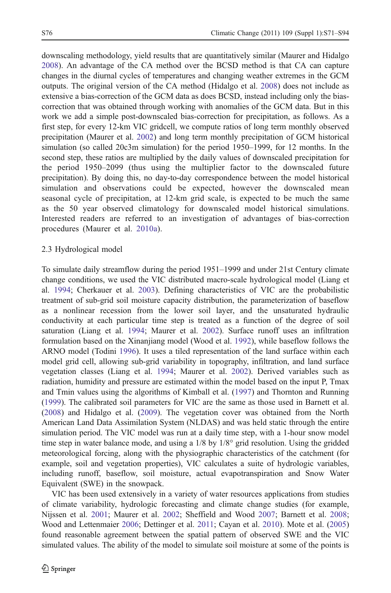downscaling methodology, yield results that are quantitatively similar (Maurer and Hidalgo [2008\)](#page-22-0). An advantage of the CA method over the BCSD method is that CA can capture changes in the diurnal cycles of temperatures and changing weather extremes in the GCM outputs. The original version of the CA method (Hidalgo et al. [2008\)](#page-22-0) does not include as extensive a bias-correction of the GCM data as does BCSD, instead including only the biascorrection that was obtained through working with anomalies of the GCM data. But in this work we add a simple post-downscaled bias-correction for precipitation, as follows. As a first step, for every 12-km VIC gridcell, we compute ratios of long term monthly observed precipitation (Maurer et al. [2002\)](#page-22-0) and long term monthly precipitation of GCM historical simulation (so called 20c3m simulation) for the period 1950–1999, for 12 months. In the second step, these ratios are multiplied by the daily values of downscaled precipitation for the period 1950–2099 (thus using the multiplier factor to the downscaled future precipitation). By doing this, no day-to-day correspondence between the model historical simulation and observations could be expected, however the downscaled mean seasonal cycle of precipitation, at 12-km grid scale, is expected to be much the same as the 50 year observed climatology for downscaled model historical simulations. Interested readers are referred to an investigation of advantages of bias-correction procedures (Maurer et al. [2010a\)](#page-23-0).

## 2.3 Hydrological model

To simulate daily streamflow during the period 1951–1999 and under 21st Century climate change conditions, we used the VIC distributed macro-scale hydrological model (Liang et al. [1994](#page-22-0); Cherkauer et al. [2003](#page-21-0)). Defining characteristics of VIC are the probabilistic treatment of sub-grid soil moisture capacity distribution, the parameterization of baseflow as a nonlinear recession from the lower soil layer, and the unsaturated hydraulic conductivity at each particular time step is treated as a function of the degree of soil saturation (Liang et al. [1994;](#page-22-0) Maurer et al. [2002\)](#page-22-0). Surface runoff uses an infiltration formulation based on the Xinanjiang model (Wood et al. [1992](#page-23-0)), while baseflow follows the ARNO model (Todini [1996](#page-23-0)). It uses a tiled representation of the land surface within each model grid cell, allowing sub-grid variability in topography, infiltration, and land surface vegetation classes (Liang et al. [1994](#page-22-0); Maurer et al. [2002](#page-22-0)). Derived variables such as radiation, humidity and pressure are estimated within the model based on the input P, Tmax and Tmin values using the algorithms of Kimball et al. ([1997\)](#page-22-0) and Thornton and Running ([1999\)](#page-23-0). The calibrated soil parameters for VIC are the same as those used in Barnett et al. ([2008\)](#page-21-0) and Hidalgo et al. ([2009\)](#page-22-0). The vegetation cover was obtained from the North American Land Data Assimilation System (NLDAS) and was held static through the entire simulation period. The VIC model was run at a daily time step, with a 1-hour snow model time step in water balance mode, and using a  $1/8$  by  $1/8^\circ$  grid resolution. Using the gridded meteorological forcing, along with the physiographic characteristics of the catchment (for example, soil and vegetation properties), VIC calculates a suite of hydrologic variables, including runoff, baseflow, soil moisture, actual evapotranspiration and Snow Water Equivalent (SWE) in the snowpack.

VIC has been used extensively in a variety of water resources applications from studies of climate variability, hydrologic forecasting and climate change studies (for example, Nijssen et al. [2001](#page-23-0); Maurer et al. [2002](#page-22-0); Sheffield and Wood [2007](#page-23-0); Barnett et al. [2008](#page-21-0); Wood and Lettenmaier [2006;](#page-23-0) Dettinger et al. [2011;](#page-21-0) Cayan et al. [2010](#page-21-0)). Mote et al. ([2005\)](#page-23-0) found reasonable agreement between the spatial pattern of observed SWE and the VIC simulated values. The ability of the model to simulate soil moisture at some of the points is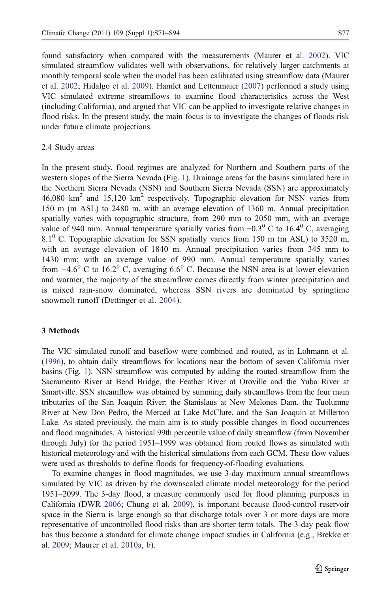<span id="page-6-0"></span>found satisfactory when compared with the measurements (Maurer et al. [2002](#page-22-0)). VIC simulated streamflow validates well with observations, for relatively larger catchments at monthly temporal scale when the model has been calibrated using streamflow data (Maurer et al. [2002;](#page-22-0) Hidalgo et al. [2009](#page-22-0)). Hamlet and Lettenmaier [\(2007](#page-22-0)) performed a study using VIC simulated extreme streamflows to examine flood characteristics across the West (including California), and argued that VIC can be applied to investigate relative changes in flood risks. In the present study, the main focus is to investigate the changes of floods risk under future climate projections.

#### 2.4 Study areas

In the present study, flood regimes are analyzed for Northern and Southern parts of the western slopes of the Sierra Nevada (Fig. [1\)](#page-7-0). Drainage areas for the basins simulated here in the Northern Sierra Nevada (NSN) and Southern Sierra Nevada (SSN) are approximately  $46,080$  km<sup>2</sup> and  $15,120$  km<sup>2</sup> respectively. Topographic elevation for NSN varies from 150 m (m ASL) to 2480 m, with an average elevation of 1360 m. Annual precipitation spatially varies with topographic structure, from 290 mm to 2050 mm, with an average value of 940 mm. Annual temperature spatially varies from  $-0.3^{\circ}$  C to 16.4<sup>0</sup> C, averaging 8.1<sup>0</sup> C. Topographic elevation for SSN spatially varies from 150 m (m ASL) to 3520 m, with an average elevation of 1840 m. Annual precipitation varies from 345 mm to 1430 mm; with an average value of 990 mm. Annual temperature spatially varies from  $-4.6^{\circ}$  C to 16.2<sup>°</sup> C, averaging 6.6<sup>°</sup> C. Because the NSN area is at lower elevation and warmer, the majority of the streamflow comes directly from winter precipitation and is mixed rain-snow dominated, whereas SSN rivers are dominated by springtime snowmelt runoff (Dettinger et al. [2004](#page-22-0)).

# 3 Methods

The VIC simulated runoff and baseflow were combined and routed, as in Lohmann et al. ([1996](#page-22-0)), to obtain daily streamflows for locations near the bottom of seven California river basins (Fig. [1\)](#page-7-0). NSN streamflow was computed by adding the routed streamflow from the Sacramento River at Bend Bridge, the Feather River at Oroville and the Yuba River at Smartville. SSN streamflow was obtained by summing daily streamflows from the four main tributaries of the San Joaquin River: the Stanislaus at New Melones Dam, the Tuolumne River at New Don Pedro, the Merced at Lake McClure, and the San Joaquin at Millerton Lake. As stated previously, the main aim is to study possible changes in flood occurrences and flood magnitudes. A historical 99th percentile value of daily streamflow (from November through July) for the period 1951–1999 was obtained from routed flows as simulated with historical meteorology and with the historical simulations from each GCM. These flow values were used as thresholds to define floods for frequency-of-flooding evaluations.

To examine changes in flood magnitudes, we use 3-day maximum annual streamflows simulated by VIC as driven by the downscaled climate model meteorology for the period 1951–2099. The 3-day flood, a measure commonly used for flood planning purposes in California (DWR [2006](#page-21-0); Chung et al. [2009\)](#page-21-0), is important because flood-control reservoir space in the Sierra is large enough so that discharge totals over 3 or more days are more representative of uncontrolled flood risks than are shorter term totals. The 3-day peak flow has thus become a standard for climate change impact studies in California (e.g., Brekke et al. [2009;](#page-21-0) Maurer et al. [2010a](#page-23-0), [b](#page-23-0)).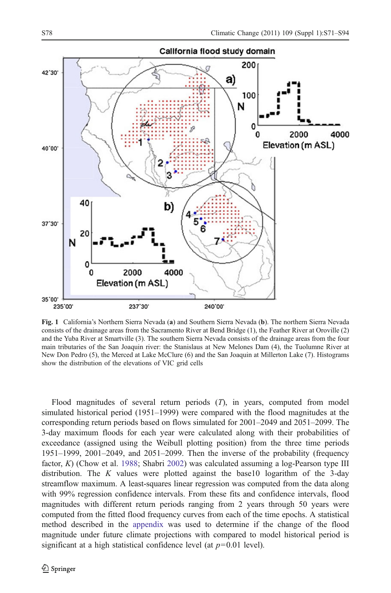<span id="page-7-0"></span>

Fig. 1 California's Northern Sierra Nevada (a) and Southern Sierra Nevada (b). The northern Sierra Nevada consists of the drainage areas from the Sacramento River at Bend Bridge (1), the Feather River at Oroville (2) and the Yuba River at Smartville (3). The southern Sierra Nevada consists of the drainage areas from the four main tributaries of the San Joaquin river: the Stanislaus at New Melones Dam (4), the Tuolumne River at New Don Pedro (5), the Merced at Lake McClure (6) and the San Joaquin at Millerton Lake (7). Histograms show the distribution of the elevations of VIC grid cells

Flood magnitudes of several return periods (T), in years, computed from model simulated historical period (1951–1999) were compared with the flood magnitudes at the corresponding return periods based on flows simulated for 2001–2049 and 2051–2099. The 3-day maximum floods for each year were calculated along with their probabilities of exceedance (assigned using the Weibull plotting position) from the three time periods 1951–1999, 2001–2049, and 2051–2099. Then the inverse of the probability (frequency factor,  $K$ ) (Chow et al. [1988;](#page-21-0) Shabri [2002\)](#page-23-0) was calculated assuming a log-Pearson type III distribution. The K values were plotted against the base10 logarithm of the 3-day streamflow maximum. A least-squares linear regression was computed from the data along with 99% regression confidence intervals. From these fits and confidence intervals, flood magnitudes with different return periods ranging from 2 years through 50 years were computed from the fitted flood frequency curves from each of the time epochs. A statistical method described in the [appendix](#page-20-0) was used to determine if the change of the flood magnitude under future climate projections with compared to model historical period is significant at a high statistical confidence level (at  $p=0.01$  level).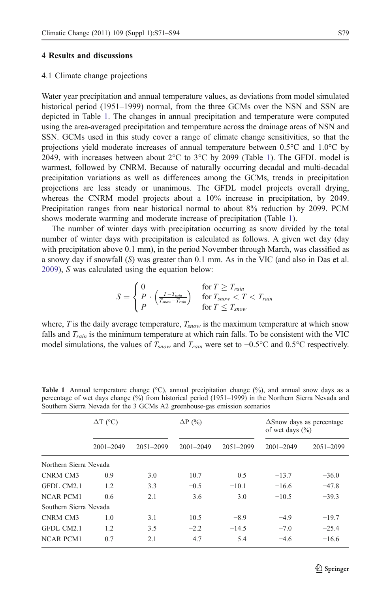## <span id="page-8-0"></span>4 Results and discussions

## 4.1 Climate change projections

Water year precipitation and annual temperature values, as deviations from model simulated historical period (1951–1999) normal, from the three GCMs over the NSN and SSN are depicted in Table 1. The changes in annual precipitation and temperature were computed using the area-averaged precipitation and temperature across the drainage areas of NSN and SSN. GCMs used in this study cover a range of climate change sensitivities, so that the projections yield moderate increases of annual temperature between 0.5°C and 1.0°C by 2049, with increases between about  $2^{\circ}$ C to  $3^{\circ}$ C by 2099 (Table 1). The GFDL model is warmest, followed by CNRM. Because of naturally occurring decadal and multi-decadal precipitation variations as well as differences among the GCMs, trends in precipitation projections are less steady or unanimous. The GFDL model projects overall drying, whereas the CNRM model projects about a 10% increase in precipitation, by 2049. Precipitation ranges from near historical normal to about 8% reduction by 2099. PCM shows moderate warming and moderate increase of precipitation (Table 1).

The number of winter days with precipitation occurring as snow divided by the total number of winter days with precipitation is calculated as follows. A given wet day (day with precipitation above 0.1 mm), in the period November through March, was classified as a snowy day if snowfall (S) was greater than 0.1 mm. As in the VIC (and also in Das et al. [2009\)](#page-21-0), S was calculated using the equation below:

$$
S = \begin{cases} 0 & \text{for } T \geq T_{rain} \\ P & \left(\frac{T - T_{rain}}{T_{snow} - T_{rain}}\right) & \text{for } T_{snow} < T < T_{rain} \\ P & \text{for } T \leq T_{snow} \end{cases}
$$

where, T is the daily average temperature,  $T_{snow}$  is the maximum temperature at which snow falls and  $T_{rain}$  is the minimum temperature at which rain falls. To be consistent with the VIC model simulations, the values of  $T_{snow}$  and  $T_{rain}$  were set to −0.5°C and 0.5°C respectively.

|                        | $\Delta T$ (°C) |               | $\Delta P$ (%) |               | $\Delta$ Snow days as percentage<br>of wet days $(\% )$ |               |
|------------------------|-----------------|---------------|----------------|---------------|---------------------------------------------------------|---------------|
|                        | $2001 - 2049$   | $2051 - 2099$ | $2001 - 2049$  | $2051 - 2099$ | $2001 - 2049$                                           | $2051 - 2099$ |
| Northern Sierra Nevada |                 |               |                |               |                                                         |               |
| CNRM CM3               | 0.9             | 3.0           | 10.7           | 0.5           | $-13.7$                                                 | $-36.0$       |
| GFDL CM2.1             | 1.2             | 3.3           | $-0.5$         | $-10.1$       | $-16.6$                                                 | $-47.8$       |
| <b>NCAR PCM1</b>       | 0.6             | 2.1           | 3.6            | 3.0           | $-10.5$                                                 | $-39.3$       |
| Southern Sierra Nevada |                 |               |                |               |                                                         |               |
| CNRM CM3               | 1.0             | 3.1           | 10.5           | $-8.9$        | $-4.9$                                                  | $-19.7$       |
| GFDL CM2.1             | 1.2             | 3.5           | $-2.2$         | $-14.5$       | $-7.0$                                                  | $-25.4$       |
| <b>NCAR PCM1</b>       | 0.7             | 2.1           | 4.7            | 5.4           | $-4.6$                                                  | $-16.6$       |

Table 1 Annual temperature change (°C), annual precipitation change (%), and annual snow days as a percentage of wet days change (%) from historical period (1951–1999) in the Northern Sierra Nevada and Southern Sierra Nevada for the 3 GCMs A2 greenhouse-gas emission scenarios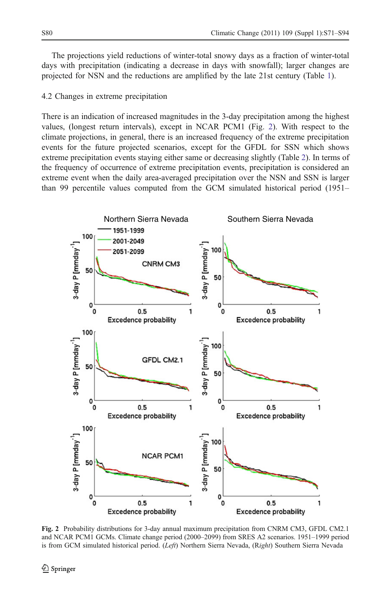<span id="page-9-0"></span>The projections yield reductions of winter-total snowy days as a fraction of winter-total days with precipitation (indicating a decrease in days with snowfall); larger changes are projected for NSN and the reductions are amplified by the late 21st century (Table [1\)](#page-8-0).

## 4.2 Changes in extreme precipitation

There is an indication of increased magnitudes in the 3-day precipitation among the highest values, (longest return intervals), except in NCAR PCM1 (Fig. 2). With respect to the climate projections, in general, there is an increased frequency of the extreme precipitation events for the future projected scenarios, except for the GFDL for SSN which shows extreme precipitation events staying either same or decreasing slightly (Table [2\)](#page-10-0). In terms of the frequency of occurrence of extreme precipitation events, precipitation is considered an extreme event when the daily area-averaged precipitation over the NSN and SSN is larger than 99 percentile values computed from the GCM simulated historical period (1951–



Fig. 2 Probability distributions for 3-day annual maximum precipitation from CNRM CM3, GFDL CM2.1 and NCAR PCM1 GCMs. Climate change period (2000–2099) from SRES A2 scenarios. 1951–1999 period is from GCM simulated historical period. (Left) Northern Sierra Nevada, (Right) Southern Sierra Nevada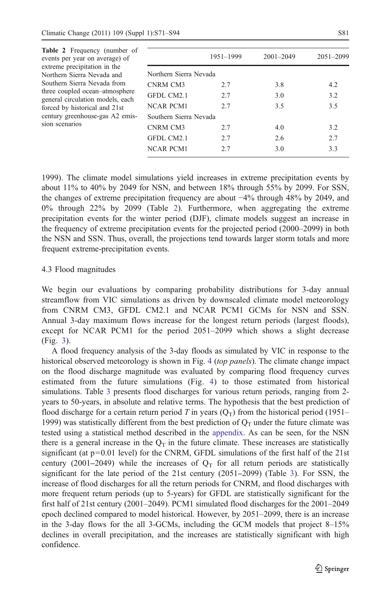<span id="page-10-0"></span>

| <b>Table 2</b> Frequency (number of<br>events per year on average) of                                                                                                                            |                        | 1951-1999 | $2001 - 2049$ | $2051 - 2099$ |  |
|--------------------------------------------------------------------------------------------------------------------------------------------------------------------------------------------------|------------------------|-----------|---------------|---------------|--|
| extreme precipitation in the<br>Northern Sierra Nevada and<br>Southern Sierra Nevada from<br>three coupled ocean-atmosphere<br>general circulation models, each<br>forced by historical and 21st | Northern Sierra Nevada |           |               |               |  |
|                                                                                                                                                                                                  | <b>CNRM CM3</b>        | 2.7       | 3.8           | 4.2           |  |
|                                                                                                                                                                                                  | GFDL CM2.1             | 2.7       | 3.0           | 3.2           |  |
|                                                                                                                                                                                                  | <b>NCAR PCM1</b>       | 2.7       | 3.5           | 3.5           |  |
| century greenhouse-gas A2 emis-                                                                                                                                                                  | Southern Sierra Nevada |           |               |               |  |
| sion scenarios                                                                                                                                                                                   | <b>CNRM CM3</b>        | 2.7       | 4.0           | 3.2           |  |
|                                                                                                                                                                                                  | GFDL CM2.1             | 2.7       | 2.6           | 2.7           |  |
|                                                                                                                                                                                                  | <b>NCAR PCM1</b>       | 2.7       | 3.0           | 3.3           |  |

1999). The climate model simulations yield increases in extreme precipitation events by about 11% to 40% by 2049 for NSN, and between 18% through 55% by 2099. For SSN, the changes of extreme precipitation frequency are about −4% through 48% by 2049, and 0% through 22% by 2099 (Table 2). Furthermore, when aggregating the extreme precipitation events for the winter period (DJF), climate models suggest an increase in the frequency of extreme precipitation events for the projected period (2000–2099) in both the NSN and SSN. Thus, overall, the projections tend towards larger storm totals and more frequent extreme-precipitation events.

#### 4.3 Flood magnitudes

We begin our evaluations by comparing probability distributions for 3-day annual streamflow from VIC simulations as driven by downscaled climate model meteorology from CNRM CM3, GFDL CM2.1 and NCAR PCM1 GCMs for NSN and SSN. Annual 3-day maximum flows increase for the longest return periods (largest floods), except for NCAR PCM1 for the period 2051–2099 which shows a slight decrease (Fig. [3](#page-11-0)).

A flood frequency analysis of the 3-day floods as simulated by VIC in response to the historical observed meteorology is shown in Fig. [4](#page-12-0) *(top panels)*. The climate change impact on the flood discharge magnitude was evaluated by comparing flood frequency curves estimated from the future simulations (Fig. [4](#page-12-0)) to those estimated from historical simulations. Table [3](#page-13-0) presents flood discharges for various return periods, ranging from 2 years to 50-years, in absolute and relative terms. The hypothesis that the best prediction of flood discharge for a certain return period T in years  $(Q_T)$  from the historical period (1951– 1999) was statistically different from the best prediction of  $Q_T$  under the future climate was tested using a statistical method described in the [appendix](#page-20-0). As can be seen, for the NSN there is a general increase in the  $Q_T$  in the future climate. These increases are statistically significant (at  $p=0.01$  level) for the CNRM, GFDL simulations of the first half of the 21st century (2001–2049) while the increases of  $Q_T$  for all return periods are statistically significant for the late period of the 21st century (2051–2099) (Table [3\)](#page-13-0). For SSN, the increase of flood discharges for all the return periods for CNRM, and flood discharges with more frequent return periods (up to 5-years) for GFDL are statistically significant for the first half of 21st century (2001–2049). PCM1 simulated flood discharges for the 2001–2049 epoch declined compared to model historical. However, by 2051–2099, there is an increase in the 3-day flows for the all 3-GCMs, including the GCM models that project 8–15% declines in overall precipitation, and the increases are statistically significant with high confidence.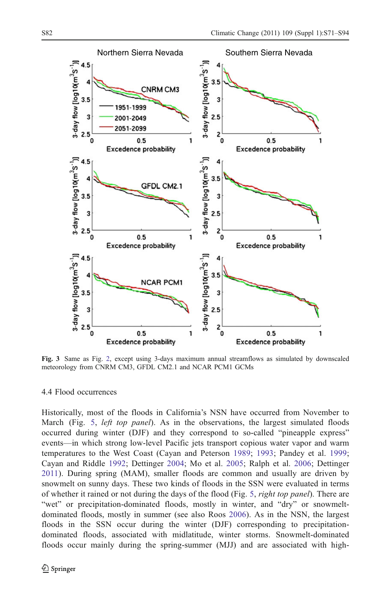<span id="page-11-0"></span>

Fig. 3 Same as Fig. [2](#page-9-0), except using 3-days maximum annual streamflows as simulated by downscaled meteorology from CNRM CM3, GFDL CM2.1 and NCAR PCM1 GCMs

#### 4.4 Flood occurrences

Historically, most of the floods in California's NSN have occurred from November to March (Fig. [5,](#page-14-0) *left top panel*). As in the observations, the largest simulated floods occurred during winter (DJF) and they correspond to so-called "pineapple express" events—in which strong low-level Pacific jets transport copious water vapor and warm temperatures to the West Coast (Cayan and Peterson [1989;](#page-21-0) [1993;](#page-21-0) Pandey et al. [1999](#page-23-0); Cayan and Riddle [1992](#page-21-0); Dettinger [2004](#page-21-0); Mo et al. [2005;](#page-23-0) Ralph et al. [2006](#page-23-0); Dettinger [2011\)](#page-21-0). During spring (MAM), smaller floods are common and usually are driven by snowmelt on sunny days. These two kinds of floods in the SSN were evaluated in terms of whether it rained or not during the days of the flood (Fig. [5,](#page-14-0) right top panel). There are "wet" or precipitation-dominated floods, mostly in winter, and "dry" or snowmeltdominated floods, mostly in summer (see also Roos [2006\)](#page-23-0). As in the NSN, the largest floods in the SSN occur during the winter (DJF) corresponding to precipitationdominated floods, associated with midlatitude, winter storms. Snowmelt-dominated floods occur mainly during the spring-summer (MJJ) and are associated with high-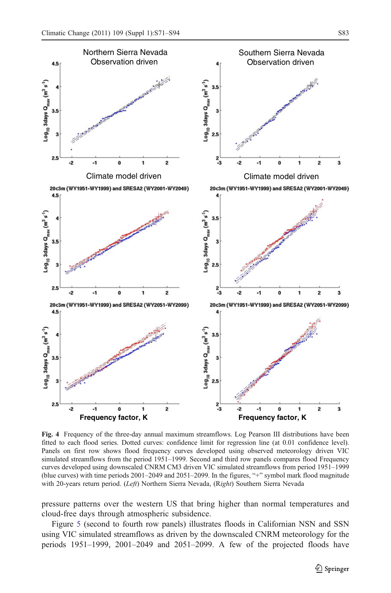<span id="page-12-0"></span>

Fig. 4 Frequency of the three-day annual maximum streamflows. Log Pearson III distributions have been fitted to each flood series. Dotted curves: confidence limit for regression line (at 0.01 confidence level). Panels on first row shows flood frequency curves developed using observed meteorology driven VIC simulated streamflows from the period 1951–1999. Second and third row panels compares flood Frequency curves developed using downscaled CNRM CM3 driven VIC simulated streamflows from period 1951–1999 (blue curves) with time periods 2001–2049 and 2051–2099. In the figures, "+" symbol mark flood magnitude with 20-years return period. (Left) Northern Sierra Nevada, (Right) Southern Sierra Nevada

pressure patterns over the western US that bring higher than normal temperatures and cloud-free days through atmospheric subsidence.

Figure [5](#page-14-0) (second to fourth row panels) illustrates floods in Californian NSN and SSN using VIC simulated streamflows as driven by the downscaled CNRM meteorology for the periods 1951–1999, 2001–2049 and 2051–2099. A few of the projected floods have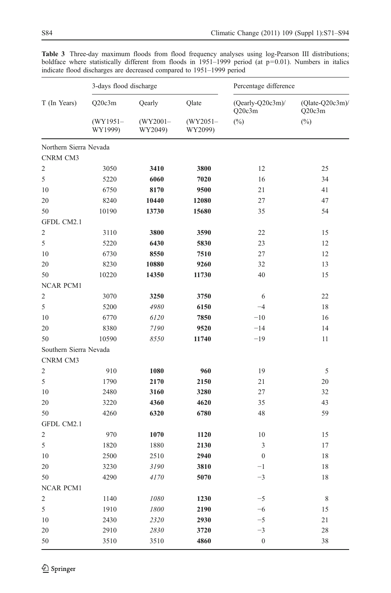|                         | 3-days flood discharge        |                               |                              | Percentage difference         |                                      |  |
|-------------------------|-------------------------------|-------------------------------|------------------------------|-------------------------------|--------------------------------------|--|
| T (In Years)            | Q20c3m<br>(WY1951–<br>WY1999) | Qearly<br>(WY2001–<br>WY2049) | Qlate<br>(WY2051–<br>WY2099) | $(Qearly-Q20c3m)$ /<br>Q20c3m | $(Qlate-Q20c3m)$<br>Q20c3m<br>$(\%)$ |  |
|                         |                               |                               |                              | $(\%)$                        |                                      |  |
| Northern Sierra Nevada  |                               |                               |                              |                               |                                      |  |
| <b>CNRM CM3</b>         |                               |                               |                              |                               |                                      |  |
| $\overline{\mathbf{c}}$ | 3050                          | 3410                          | 3800                         | 12                            | 25                                   |  |
| 5                       | 5220                          | 6060                          | 7020                         | 16                            | 34                                   |  |
| 10                      | 6750                          | 8170                          | 9500                         | 21                            | 41                                   |  |
| 20                      | 8240                          | 10440                         | 12080                        | 27                            | 47                                   |  |
| 50                      | 10190                         | 13730                         | 15680                        | 35                            | 54                                   |  |
| GFDL CM2.1              |                               |                               |                              |                               |                                      |  |
| $\overline{\mathbf{c}}$ | 3110                          | 3800                          | 3590                         | 22                            | 15                                   |  |
| 5                       | 5220                          | 6430                          | 5830                         | 23                            | 12                                   |  |
| 10                      | 6730                          | 8550                          | 7510                         | 27                            | 12                                   |  |
| 20                      | 8230                          | 10880                         | 9260                         | 32                            | 13                                   |  |
| 50                      | 10220                         | 14350                         | 11730                        | 40                            | 15                                   |  |
| NCAR PCM1               |                               |                               |                              |                               |                                      |  |
| $\overline{\mathbf{c}}$ | 3070                          | 3250                          | 3750                         | 6                             | 22                                   |  |
| 5                       | 5200                          | 4980                          | 6150                         | $-4$                          | 18                                   |  |
| 10                      | 6770                          | 6120                          | 7850                         | $-10$                         | 16                                   |  |
| 20                      | 8380                          | 7190                          | 9520                         | $-14$                         | 14                                   |  |
| 50                      | 10590                         | 8550                          | 11740                        | $-19$                         | 11                                   |  |
| Southern Sierra Nevada  |                               |                               |                              |                               |                                      |  |
| <b>CNRM CM3</b>         |                               |                               |                              |                               |                                      |  |
| $\overline{\mathbf{c}}$ | 910                           | 1080                          | 960                          | 19                            | 5                                    |  |
| 5                       | 1790                          | 2170                          | 2150                         | 21                            | 20                                   |  |
| 10                      | 2480                          | 3160                          | 3280                         | 27                            | 32                                   |  |
| 20                      | 3220                          | 4360                          | 4620                         | 35                            | 43                                   |  |
| 50                      | 4260                          | 6320                          | 6780                         | 48                            | 59                                   |  |
| GFDL CM2.1              |                               |                               |                              |                               |                                      |  |
| $\overline{\mathbf{c}}$ | 970                           | 1070                          | 1120                         | 10                            | 15                                   |  |
| 5                       | 1820                          | 1880                          | 2130                         | 3                             | 17                                   |  |
| 10                      | 2500                          | 2510                          | 2940                         | $\boldsymbol{0}$              | 18                                   |  |
| 20                      | 3230                          | 3190                          | 3810                         | $^{-1}$                       | 18                                   |  |
| 50                      | 4290                          | 4170                          | 5070                         | $-3$                          | 18                                   |  |
| NCAR PCM1               |                               |                               |                              |                               |                                      |  |
| $\overline{\mathbf{c}}$ | 1140                          | 1080                          | 1230                         | $-5$                          | $\,$ 8 $\,$                          |  |
| 5                       | 1910                          | 1800                          | 2190                         | $-6$                          | 15                                   |  |
| 10                      | 2430                          | 2320                          | 2930                         | $-5$                          | 21                                   |  |
| 20                      | 2910                          | 2830                          | 3720                         | $-3$                          | 28                                   |  |
| 50                      | 3510                          | 3510                          | 4860                         | $\boldsymbol{0}$              | 38                                   |  |

<span id="page-13-0"></span>Table 3 Three-day maximum floods from flood frequency analyses using log-Pearson III distributions; boldface where statistically different from floods in 1951–1999 period (at  $p=0.01$ ). Numbers in italics indicate flood discharges are decreased compared to 1951–1999 period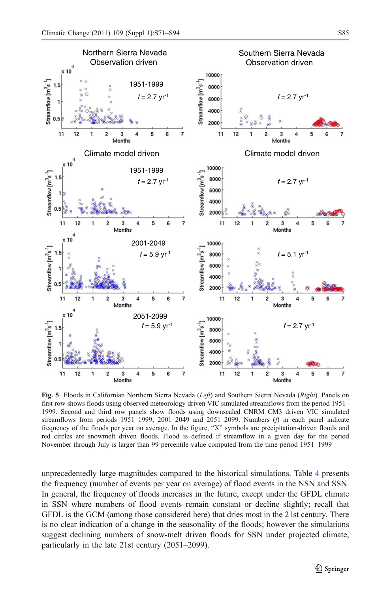<span id="page-14-0"></span>

Fig. 5 Floods in Californian Northern Sierra Nevada (Left) and Southern Sierra Nevada (Right). Panels on first row shows floods using observed meteorology driven VIC simulated streamflows from the period 1951– 1999. Second and third row panels show floods using downscaled CNRM CM3 driven VIC simulated streamflows from periods  $1951-1999$ ,  $2001-2049$  and  $2051-2099$ . Numbers (*f*) in each panel indicate frequency of the floods per year on average. In the figure, "X" symbols are precipitation-driven floods and red circles are snowmelt driven floods. Flood is defined if streamflow in a given day for the period November through July is larger than 99 percentile value computed from the time period 1951–1999

unprecedentedly large magnitudes compared to the historical simulations. Table [4](#page-15-0) presents the frequency (number of events per year on average) of flood events in the NSN and SSN. In general, the frequency of floods increases in the future, except under the GFDL climate in SSN where numbers of flood events remain constant or decline slightly; recall that GFDL is the GCM (among those considered here) that dries most in the 21st century. There is no clear indication of a change in the seasonality of the floods; however the simulations suggest declining numbers of snow-melt driven floods for SSN under projected climate, particularly in the late 21st century (2051–2099).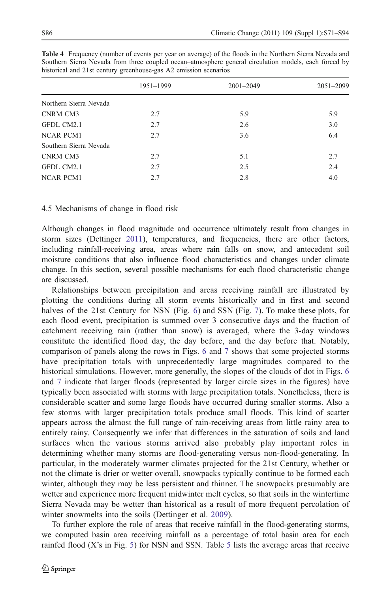|                        | 1951-1999 | $2001 - 2049$ | 2051-2099 |
|------------------------|-----------|---------------|-----------|
| Northern Sierra Nevada |           |               |           |
| <b>CNRM CM3</b>        | 2.7       | 5.9           | 5.9       |
| GFDL CM2.1             | 2.7       | 2.6           | 3.0       |
| <b>NCAR PCM1</b>       | 2.7       | 3.6           | 6.4       |
| Southern Sierra Nevada |           |               |           |
| CNRM CM3               | 2.7       | 5.1           | 2.7       |
| GFDL CM2.1             | 2.7       | 2.5           | 2.4       |
| <b>NCAR PCM1</b>       | 2.7       | 2.8           | 4.0       |
|                        |           |               |           |

<span id="page-15-0"></span>Table 4 Frequency (number of events per year on average) of the floods in the Northern Sierra Nevada and Southern Sierra Nevada from three coupled ocean–atmosphere general circulation models, each forced by historical and 21st century greenhouse-gas A2 emission scenarios

# 4.5 Mechanisms of change in flood risk

Although changes in flood magnitude and occurrence ultimately result from changes in storm sizes (Dettinger [2011](#page-21-0)), temperatures, and frequencies, there are other factors, including rainfall-receiving area, areas where rain falls on snow, and antecedent soil moisture conditions that also influence flood characteristics and changes under climate change. In this section, several possible mechanisms for each flood characteristic change are discussed.

Relationships between precipitation and areas receiving rainfall are illustrated by plotting the conditions during all storm events historically and in first and second halves of the 21st Century for NSN (Fig. [6](#page-16-0)) and SSN (Fig. [7\)](#page-17-0). To make these plots, for each flood event, precipitation is summed over 3 consecutive days and the fraction of catchment receiving rain (rather than snow) is averaged, where the 3-day windows constitute the identified flood day, the day before, and the day before that. Notably, comparison of panels along the rows in Figs. [6](#page-16-0) and [7](#page-17-0) shows that some projected storms have precipitation totals with unprecedentedly large magnitudes compared to the historical simulations. However, more generally, the slopes of the clouds of dot in Figs. [6](#page-16-0) and [7](#page-17-0) indicate that larger floods (represented by larger circle sizes in the figures) have typically been associated with storms with large precipitation totals. Nonetheless, there is considerable scatter and some large floods have occurred during smaller storms. Also a few storms with larger precipitation totals produce small floods. This kind of scatter appears across the almost the full range of rain-receiving areas from little rainy area to entirely rainy. Consequently we infer that differences in the saturation of soils and land surfaces when the various storms arrived also probably play important roles in determining whether many storms are flood-generating versus non-flood-generating. In particular, in the moderately warmer climates projected for the 21st Century, whether or not the climate is drier or wetter overall, snowpacks typically continue to be formed each winter, although they may be less persistent and thinner. The snowpacks presumably are wetter and experience more frequent midwinter melt cycles, so that soils in the wintertime Sierra Nevada may be wetter than historical as a result of more frequent percolation of winter snowmelts into the soils (Dettinger et al. [2009](#page-22-0)).

To further explore the role of areas that receive rainfall in the flood-generating storms, we computed basin area receiving rainfall as a percentage of total basin area for each rainfed flood (X's in Fig. [5\)](#page-14-0) for NSN and SSN. Table [5](#page-18-0) lists the average areas that receive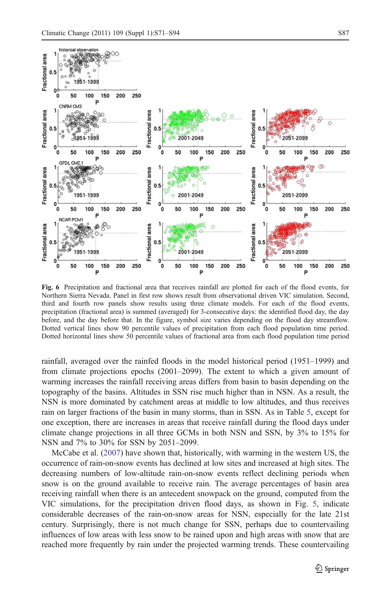<span id="page-16-0"></span>

Fig. 6 Precipitation and fractional area that receives rainfall are plotted for each of the flood events, for Northern Sierra Nevada. Panel in first row shows result from observational driven VIC simulation. Second, third and fourth row panels show results using three climate models. For each of the flood events, precipitation (fractional area) is summed (averaged) for 3-consecutive days: the identified flood day, the day before, and the day before that. In the figure, symbol size varies depending on the flood day streamflow. Dotted vertical lines show 90 percentile values of precipitation from each flood population time period. Dotted horizontal lines show 50 percentile values of fractional area from each flood population time period

rainfall, averaged over the rainfed floods in the model historical period (1951–1999) and from climate projections epochs (2001–2099). The extent to which a given amount of warming increases the rainfall receiving areas differs from basin to basin depending on the topography of the basins. Altitudes in SSN rise much higher than in NSN. As a result, the NSN is more dominated by catchment areas at middle to low altitudes, and thus receives rain on larger fractions of the basin in many storms, than in SSN. As in Table [5](#page-18-0), except for one exception, there are increases in areas that receive rainfall during the flood days under climate change projections in all three GCMs in both NSN and SSN, by 3% to 15% for NSN and 7% to 30% for SSN by 2051–2099.

McCabe et al. [\(2007](#page-23-0)) have shown that, historically, with warming in the western US, the occurrence of rain-on-snow events has declined at low sites and increased at high sites. The decreasing numbers of low-altitude rain-on-snow events reflect declining periods when snow is on the ground available to receive rain. The average percentages of basin area receiving rainfall when there is an antecedent snowpack on the ground, computed from the VIC simulations, for the precipitation driven flood days, as shown in Fig. [5](#page-14-0), indicate considerable decreases of the rain-on-snow areas for NSN, especially for the late 21st century. Surprisingly, there is not much change for SSN, perhaps due to countervailing influences of low areas with less snow to be rained upon and high areas with snow that are reached more frequently by rain under the projected warming trends. These countervailing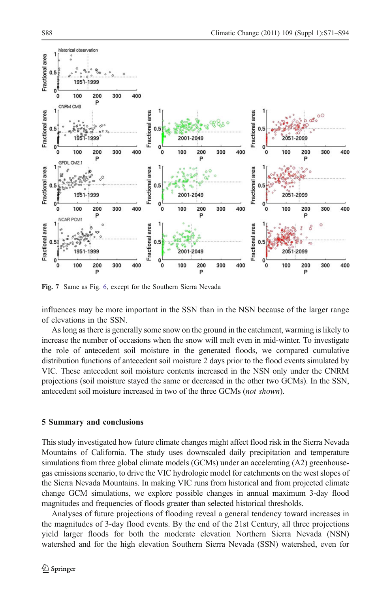<span id="page-17-0"></span>

Fig. 7 Same as Fig. [6](#page-16-0), except for the Southern Sierra Nevada

influences may be more important in the SSN than in the NSN because of the larger range of elevations in the SSN.

As long as there is generally some snow on the ground in the catchment, warming is likely to increase the number of occasions when the snow will melt even in mid-winter. To investigate the role of antecedent soil moisture in the generated floods, we compared cumulative distribution functions of antecedent soil moisture 2 days prior to the flood events simulated by VIC. These antecedent soil moisture contents increased in the NSN only under the CNRM projections (soil moisture stayed the same or decreased in the other two GCMs). In the SSN, antecedent soil moisture increased in two of the three GCMs (not shown).

### 5 Summary and conclusions

This study investigated how future climate changes might affect flood risk in the Sierra Nevada Mountains of California. The study uses downscaled daily precipitation and temperature simulations from three global climate models (GCMs) under an accelerating (A2) greenhousegas emissions scenario, to drive the VIC hydrologic model for catchments on the west slopes of the Sierra Nevada Mountains. In making VIC runs from historical and from projected climate change GCM simulations, we explore possible changes in annual maximum 3-day flood magnitudes and frequencies of floods greater than selected historical thresholds.

Analyses of future projections of flooding reveal a general tendency toward increases in the magnitudes of 3-day flood events. By the end of the 21st Century, all three projections yield larger floods for both the moderate elevation Northern Sierra Nevada (NSN) watershed and for the high elevation Southern Sierra Nevada (SSN) watershed, even for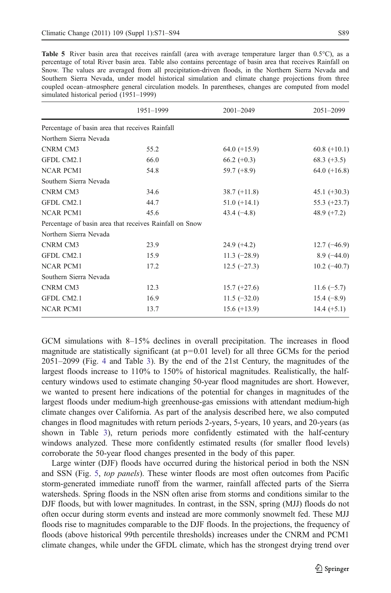<span id="page-18-0"></span>

| <b>Table 5</b> River basin area that receives rainfall (area with average temperature larger than $0.5^{\circ}$ C), as a |
|--------------------------------------------------------------------------------------------------------------------------|
| percentage of total River basin area. Table also contains percentage of basin area that receives Rainfall on             |
| Snow. The values are averaged from all precipitation-driven floods, in the Northern Sierra Nevada and                    |
| Southern Sierra Nevada, under model historical simulation and climate change projections from three                      |
| coupled ocean–atmosphere general circulation models. In parentheses, changes are computed from model                     |
| simulated historical period (1951–1999)                                                                                  |

|                                                 | 1951-1999                                               | 2001-2049      | 2051-2099      |
|-------------------------------------------------|---------------------------------------------------------|----------------|----------------|
| Percentage of basin area that receives Rainfall |                                                         |                |                |
| Northern Sierra Nevada                          |                                                         |                |                |
| <b>CNRM CM3</b>                                 | 55.2                                                    | $64.0 (+15.9)$ | $60.8 (+10.1)$ |
| GFDL CM2.1                                      | 66.0                                                    | $66.2 (+0.3)$  | $68.3 (+3.5)$  |
| <b>NCAR PCM1</b>                                | 54.8                                                    | 59.7 $(+8.9)$  | 64.0 $(+16.8)$ |
| Southern Sierra Nevada                          |                                                         |                |                |
| <b>CNRM CM3</b>                                 | 34.6                                                    | $38.7 (+11.8)$ | $45.1 (+30.3)$ |
| GFDL CM2.1                                      | 44.7                                                    | $51.0 (+14.1)$ | 55.3 $(+23.7)$ |
| <b>NCAR PCM1</b>                                | 45.6                                                    | 43.4 $(-4.8)$  | $48.9 (+7.2)$  |
|                                                 | Percentage of basin area that receives Rainfall on Snow |                |                |
| Northern Sierra Nevada                          |                                                         |                |                |
| <b>CNRM CM3</b>                                 | 23.9                                                    | $24.9 (+4.2)$  | $12.7(-46.9)$  |
| GFDL CM2.1                                      | 15.9                                                    | $11.3(-28.9)$  | $8.9(-44.0)$   |
| <b>NCAR PCM1</b>                                | 17.2                                                    | $12.5(-27.3)$  | $10.2(-40.7)$  |
| Southern Sierra Nevada                          |                                                         |                |                |
| <b>CNRM CM3</b>                                 | 12.3                                                    | $15.7 (+27.6)$ | $11.6(-5.7)$   |
| GFDL CM2.1                                      | 16.9                                                    | $11.5(-32.0)$  | $15.4(-8.9)$   |
| <b>NCAR PCM1</b>                                | 13.7                                                    | $15.6 (+13.9)$ | $14.4 (+5.1)$  |

GCM simulations with 8–15% declines in overall precipitation. The increases in flood magnitude are statistically significant (at  $p=0.01$  level) for all three GCMs for the period 2051–2099 (Fig. [4](#page-12-0) and Table [3\)](#page-13-0). By the end of the 21st Century, the magnitudes of the largest floods increase to 110% to 150% of historical magnitudes. Realistically, the halfcentury windows used to estimate changing 50-year flood magnitudes are short. However, we wanted to present here indications of the potential for changes in magnitudes of the largest floods under medium-high greenhouse-gas emissions with attendant medium-high climate changes over California. As part of the analysis described here, we also computed changes in flood magnitudes with return periods 2-years, 5-years, 10 years, and 20-years (as shown in Table [3\)](#page-13-0), return periods more confidently estimated with the half-century windows analyzed. These more confidently estimated results (for smaller flood levels) corroborate the 50-year flood changes presented in the body of this paper.

Large winter (DJF) floods have occurred during the historical period in both the NSN and SSN (Fig. [5,](#page-14-0) top panels). These winter floods are most often outcomes from Pacific storm-generated immediate runoff from the warmer, rainfall affected parts of the Sierra watersheds. Spring floods in the NSN often arise from storms and conditions similar to the DJF floods, but with lower magnitudes. In contrast, in the SSN, spring (MJJ) floods do not often occur during storm events and instead are more commonly snowmelt fed. These MJJ floods rise to magnitudes comparable to the DJF floods. In the projections, the frequency of floods (above historical 99th percentile thresholds) increases under the CNRM and PCM1 climate changes, while under the GFDL climate, which has the strongest drying trend over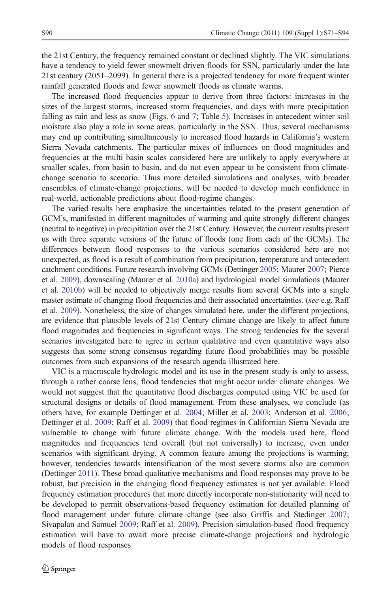the 21st Century, the frequency remained constant or declined slightly. The VIC simulations have a tendency to yield fewer snowmelt driven floods for SSN, particularly under the late 21st century (2051–2099). In general there is a projected tendency for more frequent winter rainfall generated floods and fewer snowmelt floods as climate warms.

The increased flood frequencies appear to derive from three factors: increases in the sizes of the largest storms, increased storm frequencies, and days with more precipitation falling as rain and less as snow (Figs. [6](#page-16-0) and [7;](#page-17-0) Table [5](#page-18-0)). Increases in antecedent winter soil moisture also play a role in some areas, particularly in the SSN. Thus, several mechanisms may end up contributing simultaneously to increased flood hazards in California's western Sierra Nevada catchments. The particular mixes of influences on flood magnitudes and frequencies at the multi basin scales considered here are unlikely to apply everywhere at smaller scales, from basin to basin, and do not even appear to be consistent from climatechange scenario to scenario. Thus more detailed simulations and analyses, with broader ensembles of climate-change projections, will be needed to develop much confidence in real-world, actionable predictions about flood-regime changes.

The varied results here emphasize the uncertainties related to the present generation of GCM's, manifested in different magnitudes of warming and quite strongly different changes (neutral to negative) in precipitation over the 21st Century. However, the current results present us with three separate versions of the future of floods (one from each of the GCMs). The differences between flood responses to the various scenarios considered here are not unexpected, as flood is a result of combination from precipitation, temperature and antecedent catchment conditions. Future research involving GCMs (Dettinger [2005;](#page-21-0) Maurer [2007](#page-22-0); Pierce et al. [2009](#page-23-0)), downscaling (Maurer et al. [2010a](#page-23-0)) and hydrological model simulations (Maurer et al. [2010b](#page-23-0)) will be needed to objectively merge results from several GCMs into a single master estimate of changing flood frequencies and their associated uncertainties. (see e.g. Raff et al. [2009](#page-23-0)). Nonetheless, the size of changes simulated here, under the different projections, are evidence that plausible levels of 21st Century climate change are likely to affect future flood magnitudes and frequencies in significant ways. The strong tendencies for the several scenarios investigated here to agree in certain qualitative and even quantitative ways also suggests that some strong consensus regarding future flood probabilities may be possible outcomes from such expansions of the research agenda illustrated here.

VIC is a macroscale hydrologic model and its use in the present study is only to assess, through a rather coarse lens, flood tendencies that might occur under climate changes. We would not suggest that the quantitative flood discharges computed using VIC be used for structural designs or details of flood management. From these analyses, we conclude (as others have, for example Dettinger et al. [2004](#page-22-0); Miller et al. [2003;](#page-23-0) Anderson et al. [2006](#page-21-0); Dettinger et al. [2009](#page-22-0); Raff et al. [2009\)](#page-23-0) that flood regimes in Californian Sierra Nevada are vulnerable to change with future climate change. With the models used here, flood magnitudes and frequencies tend overall (but not universally) to increase, even under scenarios with significant drying. A common feature among the projections is warming; however, tendencies towards intensification of the most severe storms also are common (Dettinger [2011](#page-21-0)). These broad qualitative mechanisms and flood responses may prove to be robust, but precision in the changing flood frequency estimates is not yet available. Flood frequency estimation procedures that more directly incorporate non-stationarity will need to be developed to permit observations-based frequency estimation for detailed planning of flood management under future climate change (see also Griffis and Stedinger [2007](#page-22-0); Sivapalan and Samuel [2009](#page-23-0); Raff et al. [2009](#page-23-0)). Precision simulation-based flood frequency estimation will have to await more precise climate-change projections and hydrologic models of flood responses.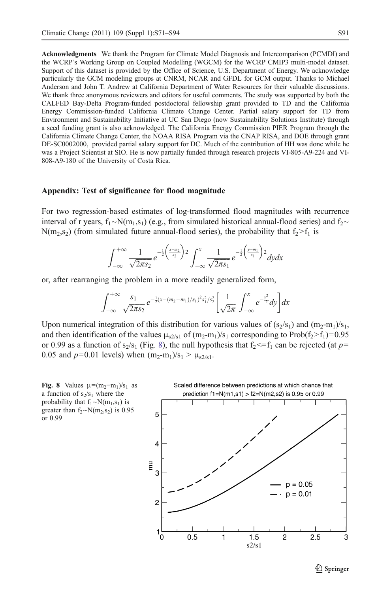<span id="page-20-0"></span>Acknowledgments We thank the Program for Climate Model Diagnosis and Intercomparison (PCMDI) and the WCRP's Working Group on Coupled Modelling (WGCM) for the WCRP CMIP3 multi-model dataset. Support of this dataset is provided by the Office of Science, U.S. Department of Energy. We acknowledge particularly the GCM modeling groups at CNRM, NCAR and GFDL for GCM output. Thanks to Michael Anderson and John T. Andrew at California Department of Water Resources for their valuable discussions. We thank three anonymous reviewers and editors for useful comments. The study was supported by both the CALFED Bay-Delta Program-funded postdoctoral fellowship grant provided to TD and the California Energy Commission-funded California Climate Change Center. Partial salary support for TD from Environment and Sustainability Initiative at UC San Diego (now Sustainability Solutions Institute) through a seed funding grant is also acknowledged. The California Energy Commission PIER Program through the California Climate Change Center, the NOAA RISA Program via the CNAP RISA, and DOE through grant DE-SC0002000, provided partial salary support for DC. Much of the contribution of HH was done while he was a Project Scientist at SIO. He is now partially funded through research projects VI-805-A9-224 and VI-808-A9-180 of the University of Costa Rica.

### Appendix: Test of significance for flood magnitude

For two regression-based estimates of log-transformed flood magnitudes with recurrence interval of r years,  $f_1 \sim N(m_1,s_1)$  (e.g., from simulated historical annual-flood series) and  $f_2 \sim$  $N(m_2,s_2)$  (from simulated future annual-flood series), the probability that  $f_2>f_1$  is

$$
\int_{-\infty}^{+\infty} \frac{1}{\sqrt{2\pi s_2}} e^{-\frac{1}{2} \left( \frac{x - m_2}{s_2} \right)^2} \int_{-\infty}^{x} \frac{1}{\sqrt{2\pi s_1}} e^{-\frac{1}{2} \left( \frac{y - m_1}{s_1} \right)^2} dy dx
$$

or, after rearranging the problem in a more readily generalized form,

$$
\int_{-\infty}^{+\infty} \frac{s_1}{\sqrt{2\pi s_2}} e^{-\frac{1}{2}(x-(m_2-m_1)/s_1)^2 s_1^2/s_2^2} \left[\frac{1}{\sqrt{2\pi}} \int_{-\infty}^x e^{-\frac{y^2}{2}} dy\right] dx
$$

Upon numerical integration of this distribution for various values of  $(s_2/s_1)$  and  $(m_2-m_1)/s_1$ , and then identification of the values  $\mu_{s2/s1}$  of  $(m_2-m_1)/s_1$  corresponding to Prob( $f_2 > f_1$ )=0.95 or 0.99 as a function of  $s_2/s_1$  (Fig. 8), the null hypothesis that  $f_2 \leq f_1$  can be rejected (at  $p=$ 0.05 and  $p=0.01$  levels) when  $(m_2-m_1)/s_1 > \mu_{s2/s1}$ .



 $\mathcal{D}$  Springer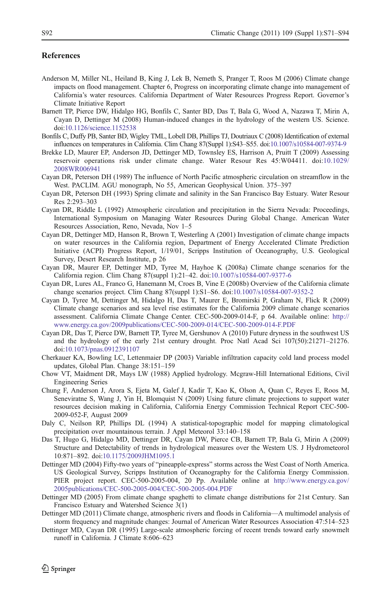## <span id="page-21-0"></span>**References**

- Anderson M, Miller NL, Heiland B, King J, Lek B, Nemeth S, Pranger T, Roos M (2006) Climate change impacts on flood management. Chapter 6, Progress on incorporating climate change into management of California's water resources. California Department of Water Resources Progress Report. Governor's Climate Initiative Report
- Barnett TP, Pierce DW, Hidalgo HG, Bonfils C, Santer BD, Das T, Bala G, Wood A, Nazawa T, Mirin A, Cayan D, Dettinger M (2008) Human-induced changes in the hydrology of the western US. Science. doi:[10.1126/science.1152538](http://dx.doi.org/10.1126/science.1152538)
- Bonfils C, Duffy PB, Santer BD, Wigley TML, Lobell DB, Phillips TJ, Doutriaux C (2008) Identification of external influences on temperatures in California. Clim Chang 87(Suppl 1):S43–S55. doi[:10.1007/s10584-007-9374-9](http://dx.doi.org/10.1007/s10584-007-9374-9)
- Brekke LD, Maurer EP, Anderson JD, Dettinger MD, Townsley ES, Harrison A, Pruitt T (2009) Assessing reservoir operations risk under climate change. Water Resour Res 45:W04411. doi:[10.1029/](http://dx.doi.org/10.1029/2008WR006941) [2008WR006941](http://dx.doi.org/10.1029/2008WR006941)
- Cayan DR, Peterson DH (1989) The influence of North Pacific atmospheric circulation on streamflow in the West. PACLIM. AGU monograph, No 55, American Geophysical Union. 375–397
- Cayan DR, Peterson DH (1993) Spring climate and salinity in the San Francisco Bay Estuary. Water Resour Res 2:293–303
- Cayan DR, Riddle L (1992) Atmospheric circulation and precipitation in the Sierra Nevada: Proceedings, International Symposium on Managing Water Resources During Global Change. American Water Resources Association, Reno, Nevada, Nov 1–5
- Cayan DR, Dettinger MD, Hanson R, Brown T, Westerling A (2001) Investigation of climate change impacts on water resources in the California region, Department of Energy Accelerated Climate Prediction Initiative (ACPI) Progress Report, 1/19/01, Scripps Institution of Oceanography, U.S. Geological Survey, Desert Research Institute, p 26
- Cayan DR, Maurer EP, Dettinger MD, Tyree M, Hayhoe K (2008a) Climate change scenarios for the California region. Clim Chang 87(suppl 1):21–42. doi[:10.1007/s10584-007-9377-6](http://dx.doi.org/10.1007/s10584-007-9377-6)
- Cayan DR, Lures AL, Franco G, Hanemann M, Croes B, Vine E (2008b) Overview of the California climate change scenarios project. Clim Chang 87(suppl 1):S1–S6. doi[:10.1007/s10584-007-9352-2](http://dx.doi.org/10.1007/s10584-007-9352-2)
- Cayan D, Tyree M, Dettinger M, Hidalgo H, Das T, Maurer E, Bromirski P, Graham N, Flick R (2009) Climate change scenarios and sea level rise estimates for the California 2009 climate change scenarios assessment. California Climate Change Center. CEC-500-2009-014-F, p 64. Available online: [http://](http://www.energy.ca.gov/2009publications/CEC-500-2009-014/CEC-500-2009-014-F.PDF) [www.energy.ca.gov/2009publications/CEC-500-2009-014/CEC-500-2009-014-F.PDF](http://www.energy.ca.gov/2009publications/CEC-500-2009-014/CEC-500-2009-014-F.PDF)
- Cayan DR, Das T, Pierce DW, Barnett TP, Tyree M, Gershunov A (2010) Future dryness in the southwest US and the hydrology of the early 21st century drought. Proc Natl Acad Sci 107(50):21271–21276. doi:[10.1073/pnas.0912391107](http://dx.doi.org/10.1073/pnas.0912391107)
- Cherkauer KA, Bowling LC, Lettenmaier DP (2003) Variable infiltration capacity cold land process model updates, Global Plan. Change 38:151–159
- Chow VT, Maidment DR, Mays LW (1988) Applied hydrology. Mcgraw-Hill International Editions, Civil Engineering Series
- Chung F, Anderson J, Arora S, Ejeta M, Galef J, Kadir T, Kao K, Olson A, Quan C, Reyes E, Roos M, Seneviratne S, Wang J, Yin H, Blomquist N (2009) Using future climate projections to support water resources decision making in California, California Energy Commission Technical Report CEC-500- 2009-052-F, August 2009
- Daly C, Neilson RP, Phillips DL (1994) A statistical-topographic model for mapping climatological precipitation over mountainous terrain. J Appl Meteorol 33:140–158
- Das T, Hugo G, Hidalgo MD, Dettinger DR, Cayan DW, Pierce CB, Barnett TP, Bala G, Mirin A (2009) Structure and Detectability of trends in hydrological measures over the Western US. J Hydrometeorol 10:871–892. doi[:10.1175/2009JHM1095.1](http://dx.doi.org/10.1175/2009JHM1095.1)
- Dettinger MD (2004) Fifty-two years of "pineapple-express" storms across the West Coast of North America. US Geological Survey, Scripps Institution of Oceanography for the California Energy Commission. PIER project report. CEC-500-2005-004, 20 Pp. Available online at [http://www.energy.ca.gov/](http://www.energy.ca.gov/2005publications/CEC-500-2005-004/CEC-500-2005-004.PDF) [2005publications/CEC-500-2005-004/CEC-500-2005-004.PDF](http://www.energy.ca.gov/2005publications/CEC-500-2005-004/CEC-500-2005-004.PDF)
- Dettinger MD (2005) From climate change spaghetti to climate change distributions for 21st Century. San Francisco Estuary and Watershed Science 3(1)
- Dettinger MD (2011) Climate change, atmospheric rivers and floods in California—A multimodel analysis of storm frequency and magnitude changes: Journal of American Water Resources Association 47:514–523
- Dettinger MD, Cayan DR (1995) Large-scale atmospheric forcing of recent trends toward early snowmelt runoff in California. J Climate 8:606–623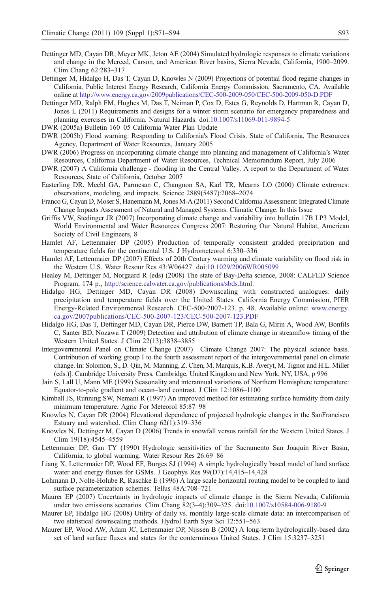- <span id="page-22-0"></span>Dettinger MD, Cayan DR, Meyer MK, Jeton AE (2004) Simulated hydrologic responses to climate variations and change in the Merced, Carson, and American River basins, Sierra Nevada, California, 1900–2099. Clim Chang 62:283–317
- Dettinger M, Hidalgo H, Das T, Cayan D, Knowles N (2009) Projections of potential flood regime changes in California. Public Interest Energy Research, California Energy Commission, Sacramento, CA. Available online at <http://www.energy.ca.gov/2009publications/CEC-500-2009-050/CEC-500-2009-050-D.PDF>
- Dettinger MD, Ralph FM, Hughes M, Das T, Neiman P, Cox D, Estes G, Reynolds D, Hartman R, Cayan D, Jones L (2011) Requirements and designs for a winter storm scenario for emergency preparedness and planning exercises in California. Natural Hazards. doi[:10.1007/s11069-011-9894-5](http://dx.doi.org/10.1007/s11069-011-9894-5)
- DWR (2005a) Bulletin 160–05 California Water Plan Update
- DWR (2005b) Flood warning: Responding to California's Flood Crisis. State of California, The Resources Agency, Department of Water Resources, January 2005
- DWR (2006) Progress on incorporating climate change into planning and management of California's Water Resources, California Department of Water Resources, Technical Memorandum Report, July 2006
- DWR (2007) A California challenge flooding in the Central Valley. A report to the Department of Water Resources, State of California, October 2007
- Easterling DR, Meehl GA, Parmesan C, Changnon SA, Karl TR, Mearns LO (2000) Climate extremes: observations, modeling, and impacts. Science 2889(5487):2068–2074
- Franco G, Cayan D, Moser S, Hanemann M, Jones M-A (2011) Second California Assessment: Integrated Climate Change Impacts Assessment of Natural and Managed Systems. Climatic Change. In this Issue
- Griffis VW, Stedinger JR (2007) Incorporating climate change and variability into bulletin 17B LP3 Model, World Environmental and Water Resources Congress 2007: Restoring Our Natural Habitat, American Society of Civil Engineers, 8
- Hamlet AF, Lettenmaier DP (2005) Production of temporally consistent gridded precipitation and temperature fields for the continental U.S. J Hydrometeorol 6:330–336
- Hamlet AF, Lettenmaier DP (2007) Effects of 20th Century warming and climate variability on flood risk in the Western U.S. Water Resour Res 43:W06427. doi:[10.1029/2006WR005099](http://dx.doi.org/10.1029/2006WR005099)
- Healey M, Dettinger M, Norgaard R (eds) (2008) The state of Bay-Delta science, 2008: CALFED Science Program, 174 p., <http://science.calwater.ca.gov/publications/sbds.html.>
- Hidalgo HG, Dettinger MD, Cayan DR (2008) Downscaling with constructed analogues: daily precipitation and temperature fields over the United States. California Energy Commission, PIER Energy-Related Environmental Research. CEC-500-2007-123. p. 48. Available online: [www.energy.](http://www.energy.ca.gov/2007publications/CEC-500-2007-123/CEC-500-2007-123.PDF) [ca.gov/2007publications/CEC-500-2007-123/CEC-500-2007-123.PDF](http://www.energy.ca.gov/2007publications/CEC-500-2007-123/CEC-500-2007-123.PDF)
- Hidalgo HG, Das T, Dettinger MD, Cayan DR, Pierce DW, Barnett TP, Bala G, Mirin A, Wood AW, Bonfils C, Santer BD, Nozawa T (2009) Detection and attribution of climate change in streamflow timing of the Western United States. J Clim 22(13):3838–3855
- Intergovernmental Panel on Climate Change (2007) Climate Change 2007: The physical science basis. Contribution of working group I to the fourth assessment report of the intergovernmental panel on climate change. In: Solomon, S., D. Qin, M. Manning, Z. Chen, M. Marquis, K.B. Averyt, M. Tignor and H.L. Miller (eds.)]. Cambridge University Press, Cambridge, United Kingdom and New York, NY, USA, p 996
- Jain S, Lall U, Mann ME (1999) Seasonality and interannual variations of Northern Hemisphere temperature: Equator-to-pole gradient and ocean–land contrast. J Clim 12:1086–1100
- Kimball JS, Running SW, Nemani R (1997) An improved method for estimating surface humidity from daily minimum temperature. Agric For Meteorol 85:87–98
- Knowles N, Cayan DR (2004) Elevational dependence of projected hydrologic changes in the SanFrancisco Estuary and watershed. Clim Chang 62(1):319–336
- Knowles N, Dettinger M, Cayan D (2006) Trends in snowfall versus rainfall for the Western United States. J Clim 19(18):4545–4559
- Lettenmaier DP, Gan TY (1990) Hydrologic sensitivities of the Sacramento–San Joaquin River Basin, California, to global warming. Water Resour Res 26:69–86
- Liang X, Lettenmaier DP, Wood EF, Burges SJ (1994) A simple hydrologically based model of land surface water and energy fluxes for GSMs. J Geophys Res 99(D7):14,415–14,428
- Lohmann D, Nolte-Holube R, Raschke E (1996) A large scale horizontal routing model to be coupled to land surface parameterization schemes. Tellus 48A:708–721
- Maurer EP (2007) Uncertainty in hydrologic impacts of climate change in the Sierra Nevada, California under two emissions scenarios. Clim Chang 82(3–4):309–325. doi:[10.1007/s10584-006-9180-9](http://dx.doi.org/10.1007/s10584-006-9180-9)
- Maurer EP, Hidalgo HG (2008) Utility of daily vs. monthly large-scale climate data: an intercomparison of two statistical downscaling methods. Hydrol Earth Syst Sci 12:551–563
- Maurer EP, Wood AW, Adam JC, Lettenmaier DP, Nijssen B (2002) A long-term hydrologically-based data set of land surface fluxes and states for the conterminous United States. J Clim 15:3237–3251